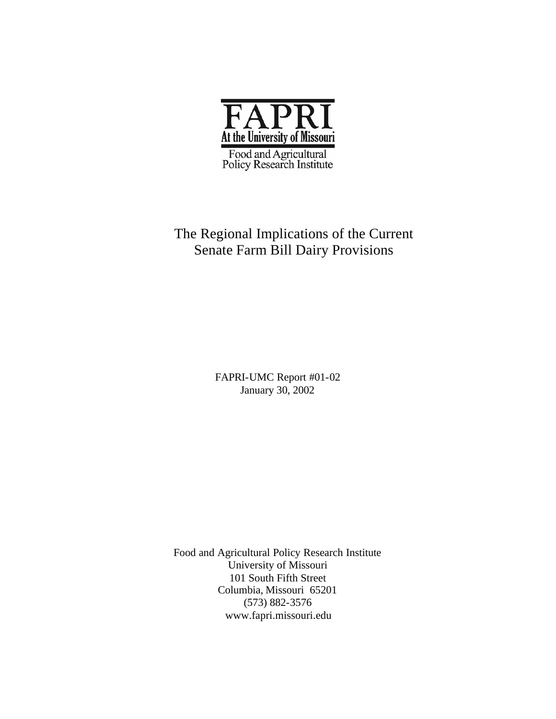

## The Regional Implications of the Current Senate Farm Bill Dairy Provisions

FAPRI-UMC Report #01-02 January 30, 2002

Food and Agricultural Policy Research Institute University of Missouri 101 South Fifth Street Columbia, Missouri 65201 (573) 882-3576 www.fapri.missouri.edu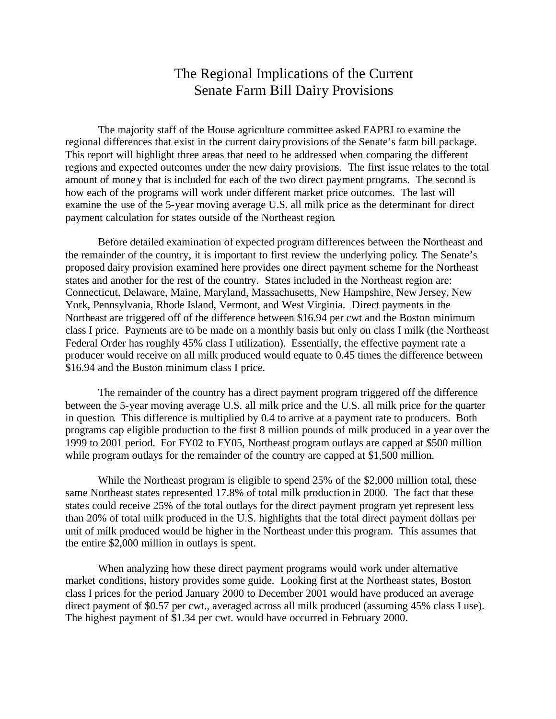## The Regional Implications of the Current Senate Farm Bill Dairy Provisions

The majority staff of the House agriculture committee asked FAPRI to examine the regional differences that exist in the current dairy provisions of the Senate's farm bill package. This report will highlight three areas that need to be addressed when comparing the different regions and expected outcomes under the new dairy provisions. The first issue relates to the total amount of money that is included for each of the two direct payment programs. The second is how each of the programs will work under different market price outcomes. The last will examine the use of the 5-year moving average U.S. all milk price as the determinant for direct payment calculation for states outside of the Northeast region.

Before detailed examination of expected program differences between the Northeast and the remainder of the country, it is important to first review the underlying policy. The Senate's proposed dairy provision examined here provides one direct payment scheme for the Northeast states and another for the rest of the country. States included in the Northeast region are: Connecticut, Delaware, Maine, Maryland, Massachusetts, New Hampshire, New Jersey, New York, Pennsylvania, Rhode Island, Vermont, and West Virginia. Direct payments in the Northeast are triggered off of the difference between \$16.94 per cwt and the Boston minimum class I price. Payments are to be made on a monthly basis but only on class I milk (the Northeast Federal Order has roughly 45% class I utilization). Essentially, the effective payment rate a producer would receive on all milk produced would equate to 0.45 times the difference between \$16.94 and the Boston minimum class I price.

The remainder of the country has a direct payment program triggered off the difference between the 5-year moving average U.S. all milk price and the U.S. all milk price for the quarter in question. This difference is multiplied by 0.4 to arrive at a payment rate to producers. Both programs cap eligible production to the first 8 million pounds of milk produced in a year over the 1999 to 2001 period. For FY02 to FY05, Northeast program outlays are capped at \$500 million while program outlays for the remainder of the country are capped at \$1,500 million.

While the Northeast program is eligible to spend 25% of the \$2,000 million total, these same Northeast states represented 17.8% of total milk production in 2000. The fact that these states could receive 25% of the total outlays for the direct payment program yet represent less than 20% of total milk produced in the U.S. highlights that the total direct payment dollars per unit of milk produced would be higher in the Northeast under this program. This assumes that the entire \$2,000 million in outlays is spent.

When analyzing how these direct payment programs would work under alternative market conditions, history provides some guide. Looking first at the Northeast states, Boston class I prices for the period January 2000 to December 2001 would have produced an average direct payment of \$0.57 per cwt., averaged across all milk produced (assuming 45% class I use). The highest payment of \$1.34 per cwt. would have occurred in February 2000.